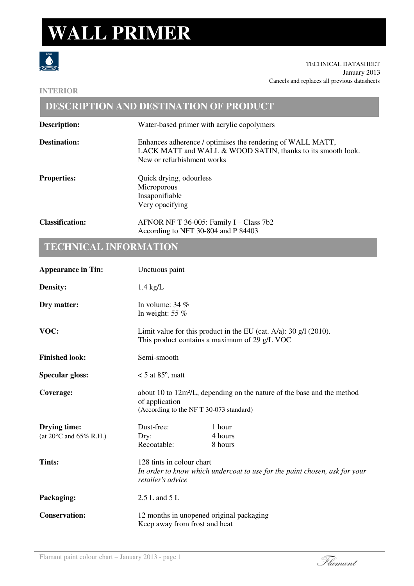## **WALL PRIMER**



TECHNICAL DATASHEET January 2013 Cancels and replaces all previous datasheets

### **INTERIOR**

|                        | <b>DESCRIPTION AND DESTINATION OF PRODUCT</b>                                                                                                           |
|------------------------|---------------------------------------------------------------------------------------------------------------------------------------------------------|
| Description:           | Water-based primer with acrylic copolymers                                                                                                              |
| <b>Destination:</b>    | Enhances adherence / optimises the rendering of WALL MATT,<br>LACK MATT and WALL & WOOD SATIN, thanks to its smooth look.<br>New or refurbishment works |
| <b>Properties:</b>     | Quick drying, odourless<br>Microporous<br>Insaponifiable<br>Very opacifying                                                                             |
| <b>Classification:</b> | AFNOR NF T 36-005: Family I – Class 7b2<br>According to NFT 30-804 and P 84403                                                                          |

## **TECHNICAL INFORMATION**

| <b>Appearance in Tin:</b>                               | Unctuous paint                                                                                                                                  |                              |  |
|---------------------------------------------------------|-------------------------------------------------------------------------------------------------------------------------------------------------|------------------------------|--|
| Density:                                                | $1.4 \text{ kg/L}$                                                                                                                              |                              |  |
| Dry matter:                                             | In volume: $34\%$<br>In weight: $55%$                                                                                                           |                              |  |
| VOC:                                                    | Limit value for this product in the EU (cat. A/a): 30 $g/1$ (2010).<br>This product contains a maximum of 29 g/L VOC                            |                              |  |
| <b>Finished look:</b>                                   | Semi-smooth                                                                                                                                     |                              |  |
| <b>Specular gloss:</b>                                  | $<$ 5 at 85 $^{\circ}$ , matt                                                                                                                   |                              |  |
| Coverage:                                               | about 10 to 12m <sup>2</sup> /L, depending on the nature of the base and the method<br>of application<br>(According to the NFT 30-073 standard) |                              |  |
| <b>Drying time:</b><br>(at $20^{\circ}$ C and 65% R.H.) | Dust-free:<br>Dry:<br>Recoatable:                                                                                                               | 1 hour<br>4 hours<br>8 hours |  |
| Tints:                                                  | 128 tints in colour chart<br>In order to know which undercoat to use for the paint chosen, ask for your<br>retailer's advice                    |                              |  |
| Packaging:                                              | $2.5$ L and $5$ L                                                                                                                               |                              |  |
| <b>Conservation:</b>                                    | 12 months in unopened original packaging<br>Keep away from frost and heat                                                                       |                              |  |